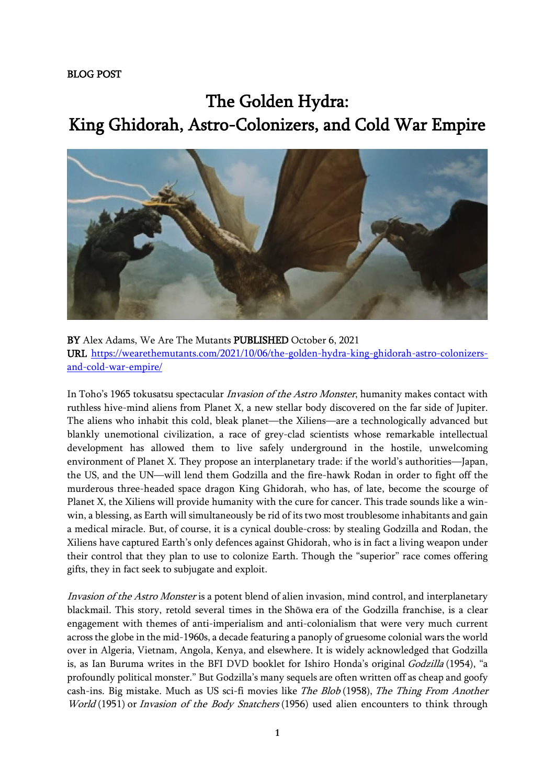The Golden Hydra: King Ghidorah, Astro-Colonizers, and Cold War Empire



BY Alex Adams, We Are The Mutants PUBLISHED October 6, 2021 URL [https://wearethemutants.com/2021/10/06/the-golden-hydra-king-ghidorah-astro-colonizers](https://wearethemutants.com/2021/10/06/the-golden-hydra-king-ghidorah-astro-colonizers-and-cold-war-empire/)[and-cold-war-empire/](https://wearethemutants.com/2021/10/06/the-golden-hydra-king-ghidorah-astro-colonizers-and-cold-war-empire/)

In Toho's 1965 tokusatsu spectacular Invasion of the Astro Monster, humanity makes contact with ruthless hive-mind aliens from Planet X, a new stellar body discovered on the far side of Jupiter. The aliens who inhabit this cold, bleak planet—the Xiliens—are a technologically advanced but blankly unemotional civilization, a race of grey-clad scientists whose remarkable intellectual development has allowed them to live safely underground in the hostile, unwelcoming environment of Planet X. They propose an interplanetary trade: if the world's authorities—Japan, the US, and the UN—will lend them Godzilla and the fire-hawk Rodan in order to fight off the murderous three-headed space dragon King Ghidorah, who has, of late, become the scourge of Planet X, the Xiliens will provide humanity with the cure for cancer. This trade sounds like a winwin, a blessing, as Earth will simultaneously be rid of its two most troublesome inhabitants and gain a medical miracle. But, of course, it is a cynical double-cross: by stealing Godzilla and Rodan, the Xiliens have captured Earth's only defences against Ghidorah, who is in fact a living weapon under their control that they plan to use to colonize Earth. Though the "superior" race comes offering gifts, they in fact seek to subjugate and exploit.

Invasion of the Astro Monster is a potent blend of alien invasion, mind control, and interplanetary blackmail. This story, retold several times in the Shōwa era of the Godzilla franchise, is a clear engagement with themes of anti-imperialism and anti-colonialism that were very much current across the globe in the mid-1960s, a decade featuring a panoply of gruesome colonial wars the world over in Algeria, Vietnam, Angola, Kenya, and elsewhere. It is widely acknowledged that Godzilla is, as Ian Buruma writes in the BFI DVD booklet for Ishiro Honda's original Godzilla (1954), "a profoundly political monster." But Godzilla's many sequels are often written off as cheap and goofy cash-ins. Big mistake. Much as US sci-fi movies like The Blob (1958), The Thing From Another World (1951) or Invasion of the Body Snatchers (1956) used alien encounters to think through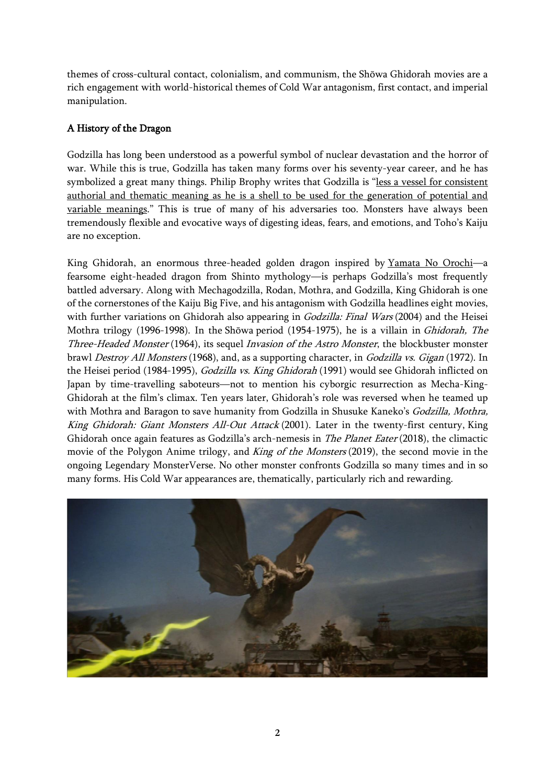themes of cross-cultural contact, colonialism, and communism, the Shōwa Ghidorah movies are a rich engagement with world-historical themes of Cold War antagonism, first contact, and imperial manipulation.

## A History of the Dragon

Godzilla has long been understood as a powerful symbol of nuclear devastation and the horror of war. While this is true, Godzilla has taken many forms over his seventy-year career, and he has symbolized a great many things. Philip Brophy writes that Godzilla is "less a vessel for [consistent](https://www.tandfonline.com/doi/abs/10.1080/13688790050001336) authorial and thematic meaning as he is a shell to be used for the [generation](https://www.tandfonline.com/doi/abs/10.1080/13688790050001336) of potential and variable [meanings](https://www.tandfonline.com/doi/abs/10.1080/13688790050001336)." This is true of many of his adversaries too. Monsters have always been tremendously flexible and evocative ways of digesting ideas, fears, and emotions, and Toho's Kaiju are no exception.

King Ghidorah, an enormous three-headed golden dragon inspired by [Yamata](https://en.wikipedia.org/wiki/Yamata_no_Orochi) No Orochi—a fearsome eight-headed dragon from Shinto mythology—is perhaps Godzilla's most frequently battled adversary. Along with Mechagodzilla, Rodan, Mothra, and Godzilla, King Ghidorah is one of the cornerstones of the Kaiju Big Five, and his antagonism with Godzilla headlines eight movies, with further variations on Ghidorah also appearing in *Godzilla: Final Wars* (2004) and the Heisei Mothra trilogy (1996-1998). In the Shōwa period (1954-1975), he is a villain in Ghidorah, The Three-Headed Monster (1964), its sequel Invasion of the Astro Monster, the blockbuster monster brawl Destroy All Monsters (1968), and, as a supporting character, in Godzilla vs. Gigan (1972). In the Heisei period (1984-1995), Godzilla vs. King Ghidorah (1991) would see Ghidorah inflicted on Japan by time-travelling saboteurs—not to mention his cyborgic resurrection as Mecha-King-Ghidorah at the film's climax. Ten years later, Ghidorah's role was reversed when he teamed up with Mothra and Baragon to save humanity from Godzilla in Shusuke Kaneko's Godzilla, Mothra, King Ghidorah: Giant Monsters All-Out Attack (2001). Later in the twenty-first century, King Ghidorah once again features as Godzilla's arch-nemesis in The Planet Eater (2018), the climactic movie of the Polygon Anime trilogy, and King of the Monsters (2019), the second movie in the ongoing Legendary MonsterVerse. No other monster confronts Godzilla so many times and in so many forms. His Cold War appearances are, thematically, particularly rich and rewarding.

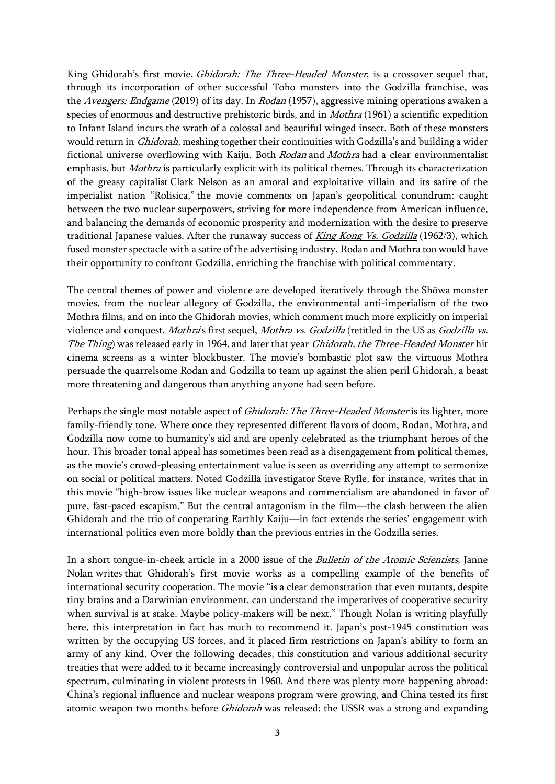King Ghidorah's first movie, *Ghidorah: The Three-Headed Monster*, is a crossover sequel that, through its incorporation of other successful Toho monsters into the Godzilla franchise, was the Avengers: Endgame (2019) of its day. In Rodan (1957), aggressive mining operations awaken a species of enormous and destructive prehistoric birds, and in Mothra (1961) a scientific expedition to Infant Island incurs the wrath of a colossal and beautiful winged insect. Both of these monsters would return in Ghidorah, meshing together their continuities with Godzilla's and building a wider fictional universe overflowing with Kaiju. Both Rodan and Mothra had a clear environmentalist emphasis, but *Mothra* is particularly explicit with its political themes. Through its characterization of the greasy capitalist Clark Nelson as an amoral and exploitative villain and its satire of the imperialist nation "Rolisica," the movie comments on Japan's geopolitical [conundrum:](https://www.filmstories.co.uk/features/the-marvellous-mothra-at-60-the-lessons-of-a-classic-monster-movie/) caught between the two nuclear superpowers, striving for more independence from American influence, and balancing the demands of economic prosperity and modernization with the desire to preserve traditional Japanese values. After the runaway success of *King Kong Vs. [Godzilla](https://wearethemutants.com/2021/03/25/the-greatest-showa-on-earth-1962s-king-kong-vs-godzilla/)* (1962/3), which fused monster spectacle with a satire of the advertising industry, Rodan and Mothra too would have their opportunity to confront Godzilla, enriching the franchise with political commentary.

The central themes of power and violence are developed iteratively through the Shōwa monster movies, from the nuclear allegory of Godzilla, the environmental anti-imperialism of the two Mothra films, and on into the Ghidorah movies, which comment much more explicitly on imperial violence and conquest. Mothra's first sequel, Mothra vs. Godzilla (retitled in the US as Godzilla vs. The Thing) was released early in 1964, and later that year Ghidorah, the Three-Headed Monster hit cinema screens as a winter blockbuster. The movie's bombastic plot saw the virtuous Mothra persuade the quarrelsome Rodan and Godzilla to team up against the alien peril Ghidorah, a beast more threatening and dangerous than anything anyone had seen before.

Perhaps the single most notable aspect of *Ghidorah: The Three-Headed Monster* is its lighter, more family-friendly tone. Where once they represented different flavors of doom, Rodan, Mothra, and Godzilla now come to humanity's aid and are openly celebrated as the triumphant heroes of the hour. This broader tonal appeal has sometimes been read as a disengagement from political themes, as the movie's crowd-pleasing entertainment value is seen as overriding any attempt to sermonize on social or political matters. Noted Godzilla investigator Steve [Ryfle,](https://books.google.co.uk/books/about/Japan_s_Favorite_Mon_star.html?id=cqSOkywWeX4C&redir_esc=y) for instance, writes that in this movie "high-brow issues like nuclear weapons and commercialism are abandoned in favor of pure, fast-paced escapism." But the central antagonism in the film—the clash between the alien Ghidorah and the trio of cooperating Earthly Kaiju—in fact extends the series' engagement with international politics even more boldly than the previous entries in the Godzilla series.

In a short tongue-in-cheek article in a 2000 issue of the Bulletin of the Atomic Scientists, Janne Nolan [writes](https://www.tandfonline.com/doi/abs/10.1080/00963402.2000.11456967) that Ghidorah's first movie works as a compelling example of the benefits of international security cooperation. The movie "is a clear demonstration that even mutants, despite tiny brains and a Darwinian environment, can understand the imperatives of cooperative security when survival is at stake. Maybe policy-makers will be next." Though Nolan is writing playfully here, this interpretation in fact has much to recommend it. Japan's post-1945 constitution was written by the occupying US forces, and it placed firm restrictions on Japan's ability to form an army of any kind. Over the following decades, this constitution and various additional security treaties that were added to it became increasingly controversial and unpopular across the political spectrum, culminating in violent protests in 1960. And there was plenty more happening abroad: China's regional influence and nuclear weapons program were growing, and China tested its first atomic weapon two months before Ghidorah was released; the USSR was a strong and expanding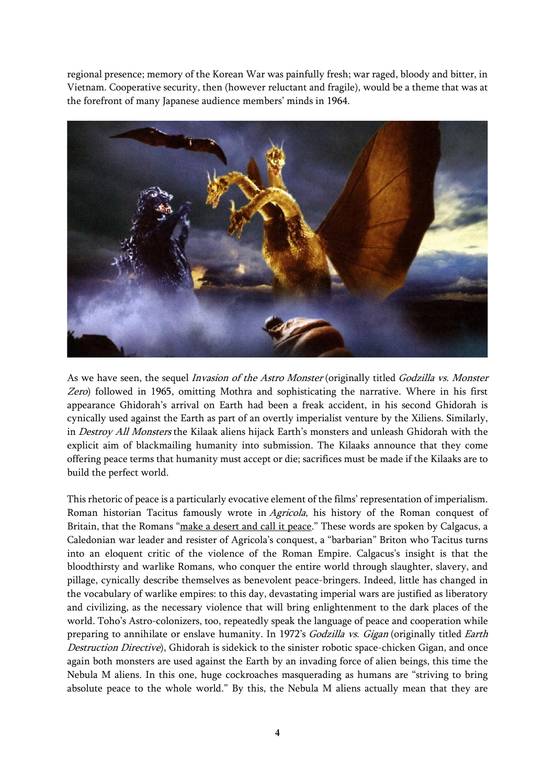regional presence; memory of the Korean War was painfully fresh; war raged, bloody and bitter, in Vietnam. Cooperative security, then (however reluctant and fragile), would be a theme that was at the forefront of many Japanese audience members' minds in 1964.



As we have seen, the sequel Invasion of the Astro Monster (originally titled Godzilla vs. Monster Zero) followed in 1965, omitting Mothra and sophisticating the narrative. Where in his first appearance Ghidorah's arrival on Earth had been a freak accident, in his second Ghidorah is cynically used against the Earth as part of an overtly imperialist venture by the Xiliens. Similarly, in Destroy All Monsters the Kilaak aliens hijack Earth's monsters and unleash Ghidorah with the explicit aim of blackmailing humanity into submission. The Kilaaks announce that they come offering peace terms that humanity must accept or die; sacrifices must be made if the Kilaaks are to build the perfect world.

This rhetoric of peace is a particularly evocative element of the films' representation of imperialism. Roman historian Tacitus famously wrote in Agricola, his history of the Roman conquest of Britain, that the Romans "make a [desert](https://www.jstor.org/stable/j.ctt183pb5x.7?seq=1#metadata_info_tab_contents) and call it peace." These words are spoken by Calgacus, a Caledonian war leader and resister of Agricola's conquest, a "barbarian" Briton who Tacitus turns into an eloquent critic of the violence of the Roman Empire. Calgacus's insight is that the bloodthirsty and warlike Romans, who conquer the entire world through slaughter, slavery, and pillage, cynically describe themselves as benevolent peace-bringers. Indeed, little has changed in the vocabulary of warlike empires: to this day, devastating imperial wars are justified as liberatory and civilizing, as the necessary violence that will bring enlightenment to the dark places of the world. Toho's Astro-colonizers, too, repeatedly speak the language of peace and cooperation while preparing to annihilate or enslave humanity. In 1972's Godzilla vs. Gigan (originally titled Earth Destruction Directive), Ghidorah is sidekick to the sinister robotic space-chicken Gigan, and once again both monsters are used against the Earth by an invading force of alien beings, this time the Nebula M aliens. In this one, huge cockroaches masquerading as humans are "striving to bring absolute peace to the whole world." By this, the Nebula M aliens actually mean that they are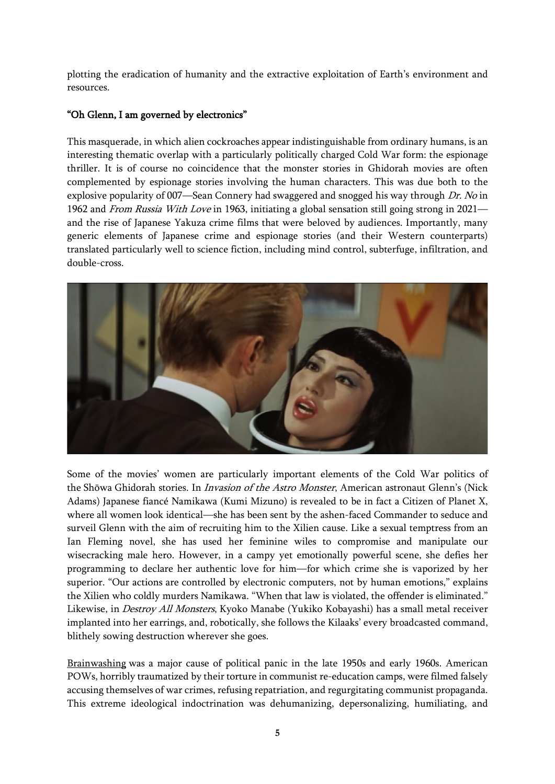plotting the eradication of humanity and the extractive exploitation of Earth's environment and resources.

## "Oh Glenn, I am governed by electronics"

This masquerade, in which alien cockroaches appear indistinguishable from ordinary humans, is an interesting thematic overlap with a particularly politically charged Cold War form: the espionage thriller. It is of course no coincidence that the monster stories in Ghidorah movies are often complemented by espionage stories involving the human characters. This was due both to the explosive popularity of 007—Sean Connery had swaggered and snogged his way through Dr. No in 1962 and From Russia With Love in 1963, initiating a global sensation still going strong in 2021 and the rise of Japanese Yakuza crime films that were beloved by audiences. Importantly, many generic elements of Japanese crime and espionage stories (and their Western counterparts) translated particularly well to science fiction, including mind control, subterfuge, infiltration, and double-cross.



Some of the movies' women are particularly important elements of the Cold War politics of the Shōwa Ghidorah stories. In *Invasion of the Astro Monster*, American astronaut Glenn's (Nick Adams) Japanese fiancé Namikawa (Kumi Mizuno) is revealed to be in fact a Citizen of Planet X, where all women look identical—she has been sent by the ashen-faced Commander to seduce and surveil Glenn with the aim of recruiting him to the Xilien cause. Like a sexual temptress from an Ian Fleming novel, she has used her feminine wiles to compromise and manipulate our wisecracking male hero. However, in a campy yet emotionally powerful scene, she defies her programming to declare her authentic love for him—for which crime she is vaporized by her superior. "Our actions are controlled by electronic computers, not by human emotions," explains the Xilien who coldly murders Namikawa. "When that law is violated, the offender is eliminated." Likewise, in Destroy All Monsters, Kyoko Manabe (Yukiko Kobayashi) has a small metal receiver implanted into her earrings, and, robotically, she follows the Kilaaks' every broadcasted command, blithely sowing destruction wherever she goes.

[Brainwashing](https://www.smithsonianmag.com/history/true-story-brainwashing-and-how-it-shaped-america-180963400/) was a major cause of political panic in the late 1950s and early 1960s. American POWs, horribly traumatized by their torture in communist re-education camps, were filmed falsely accusing themselves of war crimes, refusing repatriation, and regurgitating communist propaganda. This extreme ideological indoctrination was dehumanizing, depersonalizing, humiliating, and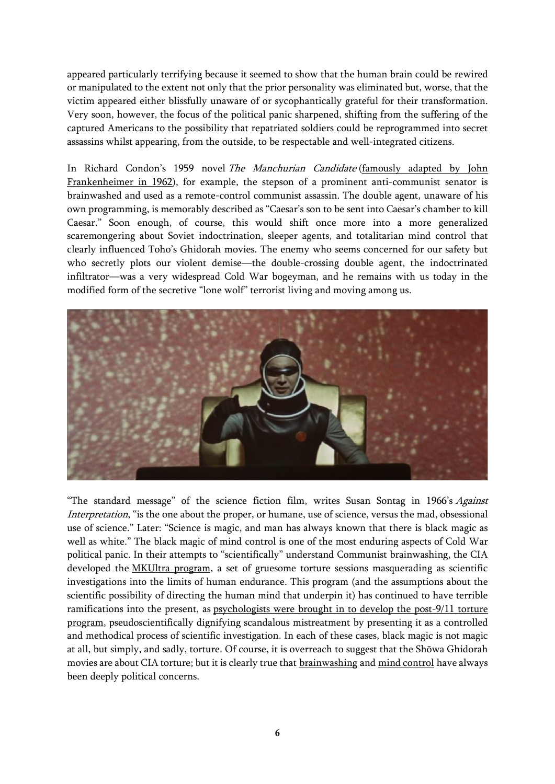appeared particularly terrifying because it seemed to show that the human brain could be rewired or manipulated to the extent not only that the prior personality was eliminated but, worse, that the victim appeared either blissfully unaware of or sycophantically grateful for their transformation. Very soon, however, the focus of the political panic sharpened, shifting from the suffering of the captured Americans to the possibility that repatriated soldiers could be reprogrammed into secret assassins whilst appearing, from the outside, to be respectable and well-integrated citizens.

In Richard Condon's 1959 novel The Manchurian Candidate [\(famously](https://www.youtube.com/watch?v=tgCyowLRfvA) adapted by John [Frankenheimer](https://www.youtube.com/watch?v=tgCyowLRfvA) in 1962), for example, the stepson of a prominent anti-communist senator is brainwashed and used as a remote-control communist assassin. The double agent, unaware of his own programming, is memorably described as "Caesar's son to be sent into Caesar's chamber to kill Caesar." Soon enough, of course, this would shift once more into a more generalized scaremongering about Soviet indoctrination, sleeper agents, and totalitarian mind control that clearly influenced Toho's Ghidorah movies. The enemy who seems concerned for our safety but who secretly plots our violent demise—the double-crossing double agent, the indoctrinated infiltrator—was a very widespread Cold War bogeyman, and he remains with us today in the modified form of the secretive "lone wolf" terrorist living and moving among us.



"The standard message" of the science fiction film, writes Susan Sontag in 1966's Against Interpretation, "is the one about the proper, or humane, use of science, versus the mad, obsessional use of science." Later: "Science is magic, and man has always known that there is black magic as well as white." The black magic of mind control is one of the most enduring aspects of Cold War political panic. In their attempts to "scientifically" understand Communist brainwashing, the CIA developed the [MKUltra](https://www.npr.org/2019/09/09/758989641/the-cias-secret-quest-for-mind-control-torture-lsd-and-a-poisoner-in-chief) program, a set of gruesome torture sessions masquerading as scientific investigations into the limits of human endurance. This program (and the assumptions about the scientific possibility of directing the human mind that underpin it) has continued to have terrible ramifications into the present, as [psychologists](https://www.theguardian.com/us-news/2020/jan/20/guantanamo-psychologists-cia-torture-program-testify) were brought in to develop the post-9/11 torture [program,](https://www.theguardian.com/us-news/2020/jan/20/guantanamo-psychologists-cia-torture-program-testify) pseudoscientifically dignifying scandalous mistreatment by presenting it as a controlled and methodical process of scientific investigation. In each of these cases, black magic is not magic at all, but simply, and sadly, torture. Of course, it is overreach to suggest that the Shōwa Ghidorah movies are about CIA torture; but it is clearly true that [brainwashing](https://wearethemutants.com/2021/09/23/mind-eats-matter-ed-hunts-the-brain/) and mind [control](https://wearethemutants.com/2017/11/14/commies-devils-and-mind-control-how-the-christian-right-engineered-satanic-backmasking/) have always been deeply political concerns.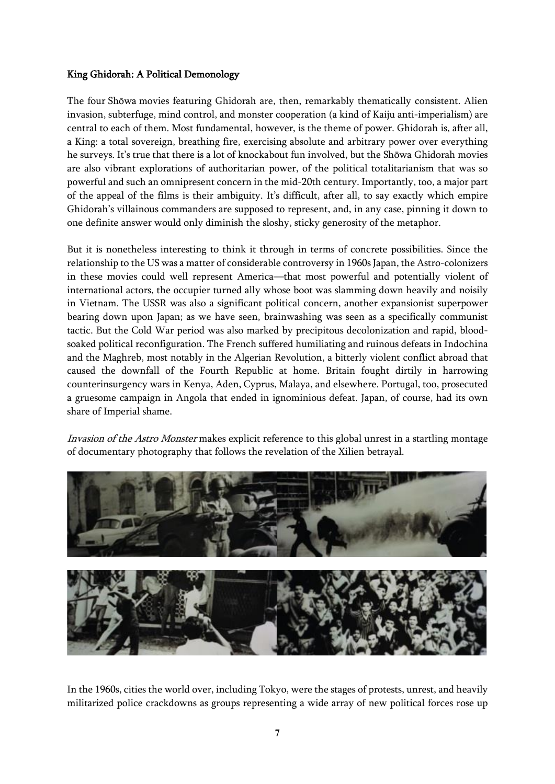## King Ghidorah: A Political Demonology

The four Shōwa movies featuring Ghidorah are, then, remarkably thematically consistent. Alien invasion, subterfuge, mind control, and monster cooperation (a kind of Kaiju anti-imperialism) are central to each of them. Most fundamental, however, is the theme of power. Ghidorah is, after all, a King: a total sovereign, breathing fire, exercising absolute and arbitrary power over everything he surveys. It's true that there is a lot of knockabout fun involved, but the Shōwa Ghidorah movies are also vibrant explorations of authoritarian power, of the political totalitarianism that was so powerful and such an omnipresent concern in the mid-20th century. Importantly, too, a major part of the appeal of the films is their ambiguity. It's difficult, after all, to say exactly which empire Ghidorah's villainous commanders are supposed to represent, and, in any case, pinning it down to one definite answer would only diminish the sloshy, sticky generosity of the metaphor.

But it is nonetheless interesting to think it through in terms of concrete possibilities. Since the relationship to the US was a matter of considerable controversy in 1960s Japan, the Astro-colonizers in these movies could well represent America—that most powerful and potentially violent of international actors, the occupier turned ally whose boot was slamming down heavily and noisily in Vietnam. The USSR was also a significant political concern, another expansionist superpower bearing down upon Japan; as we have seen, brainwashing was seen as a specifically communist tactic. But the Cold War period was also marked by precipitous decolonization and rapid, bloodsoaked political reconfiguration. The French suffered humiliating and ruinous defeats in Indochina and the Maghreb, most notably in the Algerian Revolution, a bitterly violent conflict abroad that caused the downfall of the Fourth Republic at home. Britain fought dirtily in harrowing counterinsurgency wars in Kenya, Aden, Cyprus, Malaya, and elsewhere. Portugal, too, prosecuted a gruesome campaign in Angola that ended in ignominious defeat. Japan, of course, had its own share of Imperial shame.

Invasion of the Astro Monster makes explicit reference to this global unrest in a startling montage of documentary photography that follows the revelation of the Xilien betrayal.





In the 1960s, cities the world over, including Tokyo, were the stages of protests, unrest, and heavily militarized police crackdowns as groups representing a wide array of new political forces rose up